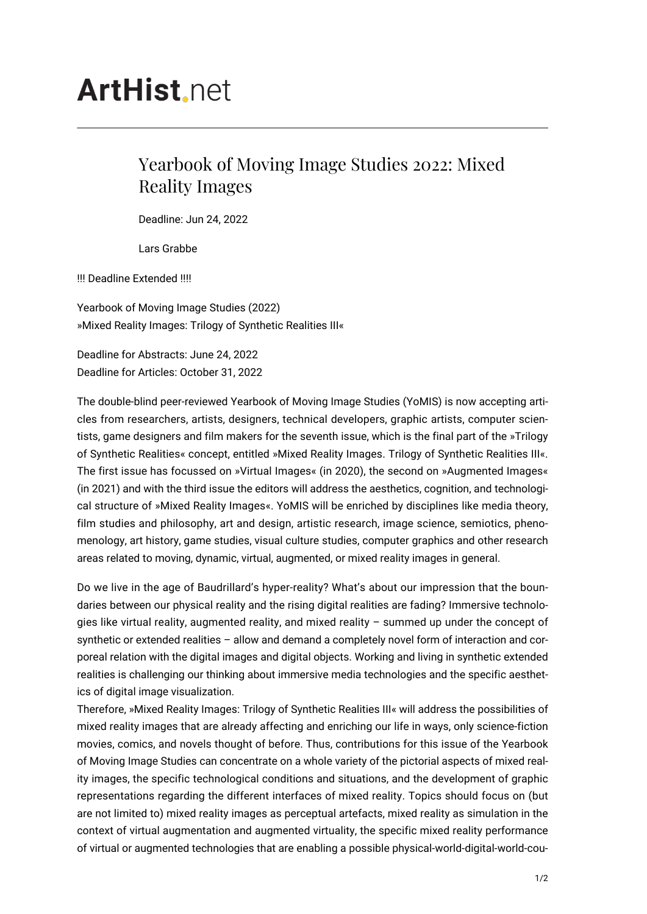## **ArtHist**, net

## Yearbook of Moving Image Studies 2022: Mixed Reality Images

Deadline: Jun 24, 2022

Lars Grabbe

!!! Deadline Extended !!!!

Yearbook of Moving Image Studies (2022) »Mixed Reality Images: Trilogy of Synthetic Realities III«

Deadline for Abstracts: June 24, 2022 Deadline for Articles: October 31, 2022

The double-blind peer-reviewed Yearbook of Moving Image Studies (YoMIS) is now accepting articles from researchers, artists, designers, technical developers, graphic artists, computer scientists, game designers and film makers for the seventh issue, which is the final part of the »Trilogy of Synthetic Realities« concept, entitled »Mixed Reality Images. Trilogy of Synthetic Realities III«. The first issue has focussed on »Virtual Images« (in 2020), the second on »Augmented Images« (in 2021) and with the third issue the editors will address the aesthetics, cognition, and technological structure of »Mixed Reality Images«. YoMIS will be enriched by disciplines like media theory, film studies and philosophy, art and design, artistic research, image science, semiotics, phenomenology, art history, game studies, visual culture studies, computer graphics and other research areas related to moving, dynamic, virtual, augmented, or mixed reality images in general.

Do we live in the age of Baudrillard's hyper-reality? What's about our impression that the boundaries between our physical reality and the rising digital realities are fading? Immersive technologies like virtual reality, augmented reality, and mixed reality – summed up under the concept of synthetic or extended realities – allow and demand a completely novel form of interaction and corporeal relation with the digital images and digital objects. Working and living in synthetic extended realities is challenging our thinking about immersive media technologies and the specific aesthetics of digital image visualization.

Therefore, »Mixed Reality Images: Trilogy of Synthetic Realities III« will address the possibilities of mixed reality images that are already affecting and enriching our life in ways, only science-fiction movies, comics, and novels thought of before. Thus, contributions for this issue of the Yearbook of Moving Image Studies can concentrate on a whole variety of the pictorial aspects of mixed reality images, the specific technological conditions and situations, and the development of graphic representations regarding the different interfaces of mixed reality. Topics should focus on (but are not limited to) mixed reality images as perceptual artefacts, mixed reality as simulation in the context of virtual augmentation and augmented virtuality, the specific mixed reality performance of virtual or augmented technologies that are enabling a possible physical-world-digital-world-cou